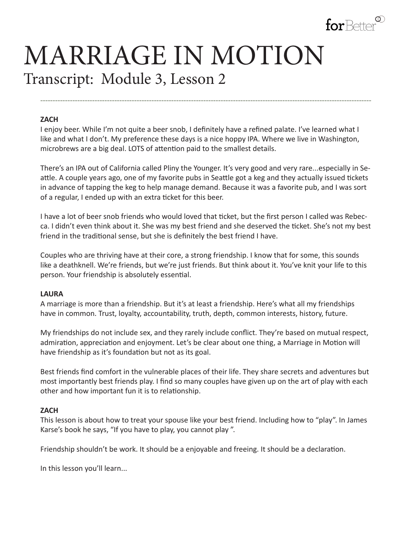

# MARRIAGE IN MOTION Transcript: Module 3, Lesson 2

#### **ZACH**

I enjoy beer. While I'm not quite a beer snob, I definitely have a refined palate. I've learned what I like and what I don't. My preference these days is a nice hoppy IPA. Where we live in Washington, microbrews are a big deal. LOTS of attention paid to the smallest details.

**--------------------------------------------------------------------------------------------------------------------------------------**

There's an IPA out of California called Pliny the Younger. It's very good and very rare...especially in Seattle. A couple years ago, one of my favorite pubs in Seattle got a keg and they actually issued tickets in advance of tapping the keg to help manage demand. Because it was a favorite pub, and I was sort of a regular, I ended up with an extra ticket for this beer.

I have a lot of beer snob friends who would loved that ticket, but the first person I called was Rebecca. I didn't even think about it. She was my best friend and she deserved the ticket. She's not my best friend in the traditional sense, but she is definitely the best friend I have.

Couples who are thriving have at their core, a strong friendship. I know that for some, this sounds like a deathknell. We're friends, but we're just friends. But think about it. You've knit your life to this person. Your friendship is absolutely essential.

#### **LAURA**

A marriage is more than a friendship. But it's at least a friendship. Here's what all my friendships have in common. Trust, loyalty, accountability, truth, depth, common interests, history, future.

My friendships do not include sex, and they rarely include conflict. They're based on mutual respect, admiration, appreciation and enjoyment. Let's be clear about one thing, a Marriage in Motion will have friendship as it's foundation but not as its goal.

Best friends find comfort in the vulnerable places of their life. They share secrets and adventures but most importantly best friends play. I find so many couples have given up on the art of play with each other and how important fun it is to relationship.

#### **ZACH**

This lesson is about how to treat your spouse like your best friend. Including how to "play". In James Karse's book he says, "If you have to play, you cannot play ".

Friendship shouldn't be work. It should be a enjoyable and freeing. It should be a declaration.

In this lesson you'll learn...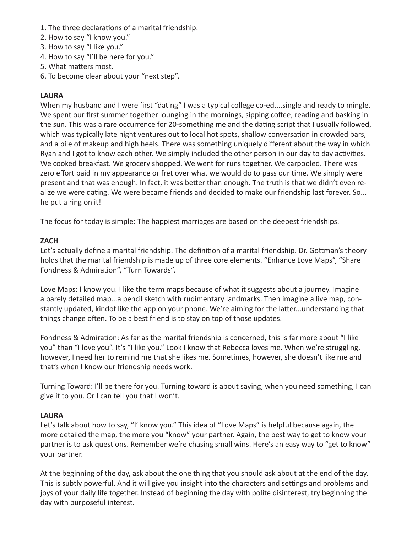- 1. The three declarations of a marital friendship.
- 2. How to say "I know you."
- 3. How to say "I like you."
- 4. How to say "I'll be here for you."
- 5. What matters most.
- 6. To become clear about your "next step".

# **LAURA**

When my husband and I were first "dating" I was a typical college co-ed....single and ready to mingle. We spent our first summer together lounging in the mornings, sipping coffee, reading and basking in the sun. This was a rare occurrence for 20-something me and the dating script that I usually followed, which was typically late night ventures out to local hot spots, shallow conversation in crowded bars, and a pile of makeup and high heels. There was something uniquely different about the way in which Ryan and I got to know each other. We simply included the other person in our day to day activities. We cooked breakfast. We grocery shopped. We went for runs together. We carpooled. There was zero effort paid in my appearance or fret over what we would do to pass our time. We simply were present and that was enough. In fact, it was better than enough. The truth is that we didn't even realize we were dating. We were became friends and decided to make our friendship last forever. So... he put a ring on it!

The focus for today is simple: The happiest marriages are based on the deepest friendships.

# **ZACH**

Let's actually define a marital friendship. The definition of a marital friendship. Dr. Gottman's theory holds that the marital friendship is made up of three core elements. "Enhance Love Maps", "Share Fondness & Admiration", "Turn Towards".

Love Maps: I know you. I like the term maps because of what it suggests about a journey. Imagine a barely detailed map...a pencil sketch with rudimentary landmarks. Then imagine a live map, constantly updated, kindof like the app on your phone. We're aiming for the latter...understanding that things change often. To be a best friend is to stay on top of those updates.

Fondness & Admiration: As far as the marital friendship is concerned, this is far more about "I like you" than "I love you". It's "I like you." Look I know that Rebecca loves me. When we're struggling, however, I need her to remind me that she likes me. Sometimes, however, she doesn't like me and that's when I know our friendship needs work.

Turning Toward: I'll be there for you. Turning toward is about saying, when you need something, I can give it to you. Or I can tell you that I won't.

### **LAURA**

Let's talk about how to say, "I' know you." This idea of "Love Maps" is helpful because again, the more detailed the map, the more you "know" your partner. Again, the best way to get to know your partner is to ask questions. Remember we're chasing small wins. Here's an easy way to "get to know" your partner.

At the beginning of the day, ask about the one thing that you should ask about at the end of the day. This is subtly powerful. And it will give you insight into the characters and settings and problems and joys of your daily life together. Instead of beginning the day with polite disinterest, try beginning the day with purposeful interest.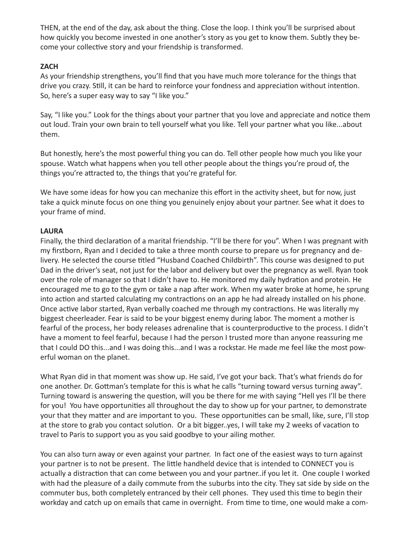THEN, at the end of the day, ask about the thing. Close the loop. I think you'll be surprised about how quickly you become invested in one another's story as you get to know them. Subtly they become your collective story and your friendship is transformed.

### **ZACH**

As your friendship strengthens, you'll find that you have much more tolerance for the things that drive you crazy. Still, it can be hard to reinforce your fondness and appreciation without intention. So, here's a super easy way to say "I like you."

Say, "I like you." Look for the things about your partner that you love and appreciate and notice them out loud. Train your own brain to tell yourself what you like. Tell your partner what you like...about them.

But honestly, here's the most powerful thing you can do. Tell other people how much you like your spouse. Watch what happens when you tell other people about the things you're proud of, the things you're attracted to, the things that you're grateful for.

We have some ideas for how you can mechanize this effort in the activity sheet, but for now, just take a quick minute focus on one thing you genuinely enjoy about your partner. See what it does to your frame of mind.

### **LAURA**

Finally, the third declaration of a marital friendship. "I'll be there for you". When I was pregnant with my firstborn, Ryan and I decided to take a three month course to prepare us for pregnancy and delivery. He selected the course titled "Husband Coached Childbirth". This course was designed to put Dad in the driver's seat, not just for the labor and delivery but over the pregnancy as well. Ryan took over the role of manager so that I didn't have to. He monitored my daily hydration and protein. He encouraged me to go to the gym or take a nap after work. When my water broke at home, he sprung into action and started calculating my contractions on an app he had already installed on his phone. Once active labor started, Ryan verbally coached me through my contractions. He was literally my biggest cheerleader. Fear is said to be your biggest enemy during labor. The moment a mother is fearful of the process, her body releases adrenaline that is counterproductive to the process. I didn't have a moment to feel fearful, because I had the person I trusted more than anyone reassuring me that I could DO this...and I was doing this...and I was a rockstar. He made me feel like the most powerful woman on the planet.

What Ryan did in that moment was show up. He said, I've got your back. That's what friends do for one another. Dr. Gottman's template for this is what he calls "turning toward versus turning away". Turning toward is answering the question, will you be there for me with saying "Hell yes I'll be there for you! You have opportunities all throughout the day to show up for your partner, to demonstrate your that they matter and are important to you. These opportunities can be small, like, sure, I'll stop at the store to grab you contact solution. Or a bit bigger..yes, I will take my 2 weeks of vacation to travel to Paris to support you as you said goodbye to your ailing mother.

You can also turn away or even against your partner. In fact one of the easiest ways to turn against your partner is to not be present. The little handheld device that is intended to CONNECT you is actually a distraction that can come between you and your partner..if you let it. One couple I worked with had the pleasure of a daily commute from the suburbs into the city. They sat side by side on the commuter bus, both completely entranced by their cell phones. They used this time to begin their workday and catch up on emails that came in overnight. From time to time, one would make a com